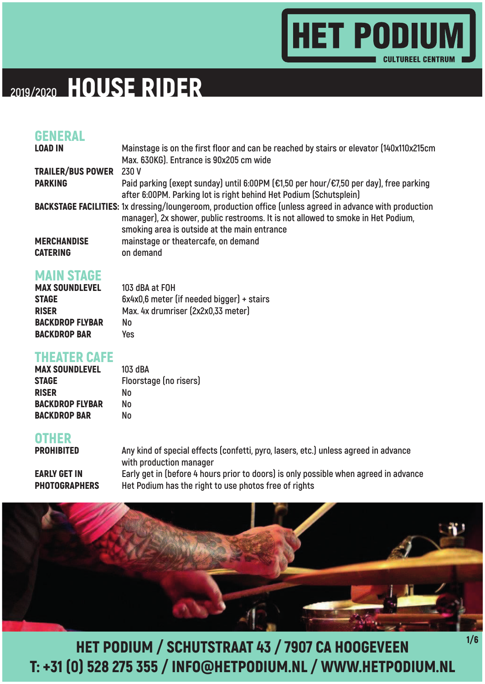

### HOUSE RIDER **2019/2020**

#### GENERAL

| <b>LOAD IN</b>          | Mainstage is on the first floor and can be reached by stairs or elevator (140x110x215cm                          |
|-------------------------|------------------------------------------------------------------------------------------------------------------|
|                         | Max. 630KG). Entrance is 90x205 cm wide                                                                          |
| TRAILER/BUS POWER 230 V |                                                                                                                  |
| <b>PARKING</b>          | Paid parking (exept sunday) until 6:00PM (€1,50 per hour/€7,50 per day), free parking                            |
|                         | after 6:00PM. Parking lot is right behind Het Podium (Schutsplein)                                               |
|                         | <b>BACKSTAGE FACILITIES:</b> 1x dressing/loungeroom, production office (unless agreed in advance with production |
|                         | manager), 2x shower, public restrooms. It is not allowed to smoke in Het Podium,                                 |
|                         | smoking area is outside at the main entrance                                                                     |
| <b>MERCHANDISE</b>      | mainstage or theatercafe, on demand                                                                              |
| <b>CATERING</b>         | on demand                                                                                                        |

#### MAIN STAGE

| <b>MAX SOUNDLEVEL</b>  | 103 dBA at FOH                            |
|------------------------|-------------------------------------------|
| <b>STAGE</b>           | 6x4x0,6 meter (if needed bigger) + stairs |
| <b>RISER</b>           | Max. 4x drumriser (2x2x0,33 meter)        |
| <b>BACKDROP FLYBAR</b> | No.                                       |
| <b>BACKDROP BAR</b>    | Yes                                       |

#### THEATER CAFE

| <b>MAX SOUNDLEVEL</b>  | 103 dBA                |
|------------------------|------------------------|
| STAGE                  | Floorstage (no risers) |
| <b>RISER</b>           | Nο                     |
| <b>BACKDROP FLYBAR</b> | N٥                     |
| <b>BACKDROP BAR</b>    | N٥                     |

#### OTHER

PROHIBITED **Any kind of special effects (confetti, pyro, lasers, etc.) unless agreed in advance with production manager EARLY GET IN** Early get in (before 4 hours prior to doors) is only possible when agreed in advance PHOTOGRAPHERS **Het Podium has the right to use photos free of rights** 

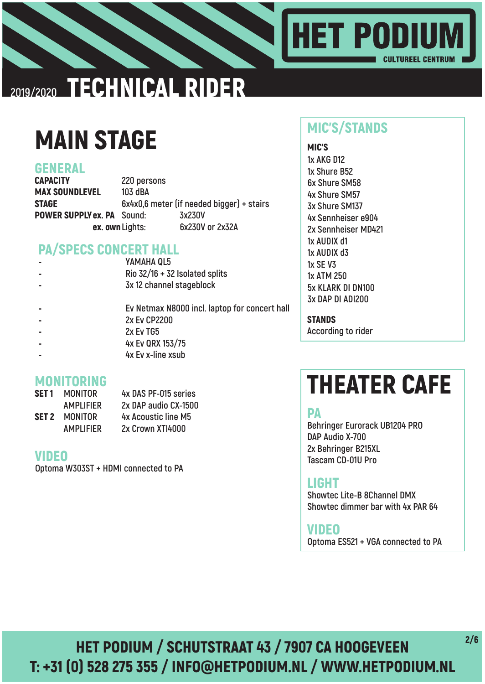

### TECHNICAL RIDER **2019/2020**

# MAIN STAGE

#### GENERAL

CAPACITY **220 persons** MAX SOUNDLEVEL **103 dBA** STAGE **6x4x0,6 meter (if needed bigger) + stairs** POWER SUPPLY ex. PA **Sound: 3x230V** ex. own **Lights: 6x230V or 2x32A**

### PA/SPECS CONCERT HALL

| $\blacksquare$ | YAMAHA QL5                                    |  |
|----------------|-----------------------------------------------|--|
| $\blacksquare$ | Rio $32/16 + 32$ Isolated splits              |  |
| $\blacksquare$ | 3x 12 channel stageblock                      |  |
|                | Ev Netmax N8000 incl. laptop for concert hall |  |
| -              | 2x Ev CP2200                                  |  |
|                | 2x Ev TG5                                     |  |
|                | ________                                      |  |

- - **4x Ev QRX 153/75**
- - **4x Ev x-line xsub**

#### MONITORING

| SET 1 | <b>MONITOR</b>   | 4x DAS PF-015 series |
|-------|------------------|----------------------|
|       | <b>AMPLIFIER</b> | 2x DAP audio CX-1500 |
| SET 2 | <b>MONITOR</b>   | 4x Acoustic line M5  |
|       | <b>AMPLIFIER</b> | 2x Crown XTI4000     |

#### VIDEO

**Optoma W303ST + HDMI connected to PA**

### MIC'S/STANDS

MIC'S **1x AKG D12 1x Shure B52 6x Shure SM58 4x Shure SM57 3x Shure SM137 4x Sennheiser e904 2x Sennheiser MD421 1x AUDIX d1 1x AUDIX d3 1x SE V3 1x ATM 250 5x KLARK DI DN100 3x DAP DI ADI200**

**STANDS According to rider**

# THEATER CAFE

#### PA

**Behringer Eurorack UB1204 PRO DAP Audio X-700 2x Behringer B215XL Tascam CD-01U Pro** 

#### LIGHT

**Showtec Lite-B 8Channel DMX Showtec dimmer bar with 4x PAR 64**

**Optoma ES521 + VGA connected to PA** VIDEO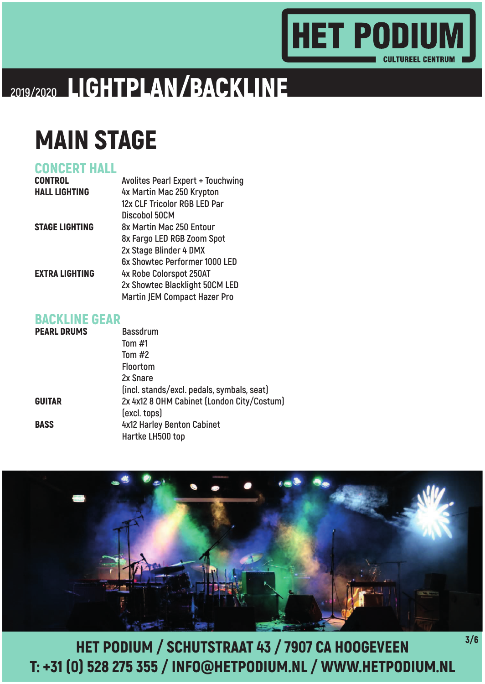### **HET PODIUM CULTUREEL CENTRUM**

# LIGHTPLAN/BACKLINE **2019/2020**

# MAIN STAGE

### CONCERT HALL

| <b>CONTROL</b>        | <b>Avolites Pearl Expert + Touchwing</b> |
|-----------------------|------------------------------------------|
| <b>HALL LIGHTING</b>  | 4x Martin Mac 250 Krypton                |
|                       | 12x CLF Tricolor RGB LED Par             |
|                       | Discobol 50CM                            |
| <b>STAGE LIGHTING</b> | 8x Martin Mac 250 Entour                 |
|                       | 8x Fargo LED RGB Zoom Spot               |
|                       | 2x Stage Blinder 4 DMX                   |
|                       | 6x Showtec Performer 1000 LED            |
| <b>EXTRA LIGHTING</b> | 4x Robe Colorspot 250AT                  |
|                       | 2x Showtec Blacklight 50CM LED           |
|                       | <b>Martin JEM Compact Hazer Pro</b>      |

#### BACKLINE GEAR

| <b>PEARL DRUMS</b> | <b>Bassdrum</b>                            |
|--------------------|--------------------------------------------|
|                    | Tom $#1$                                   |
|                    | Tom $#2$                                   |
|                    | <b>Floortom</b>                            |
|                    | 2x Snare                                   |
|                    | (incl. stands/excl. pedals, symbals, seat) |
| <b>GUITAR</b>      | 2x 4x12 8 OHM Cabinet (London City/Costum) |
|                    | (excl. tops)                               |
| <b>BASS</b>        | 4x12 Harley Benton Cabinet                 |
|                    | Hartke LH500 top                           |

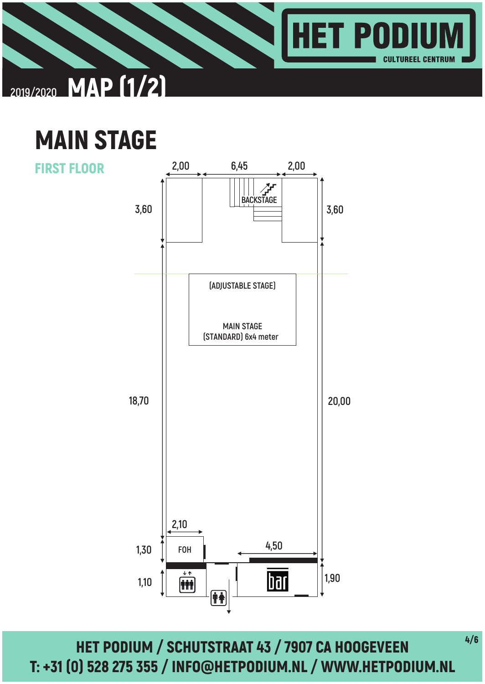





HET PODIUM / SCHUTSTRAAT 43 / 7907 CA HOOGEVEEN T: +31 (0) 528 275 355 / INFO@HETPODIUM.NL / WWW.HETPODIUM.NL

4/6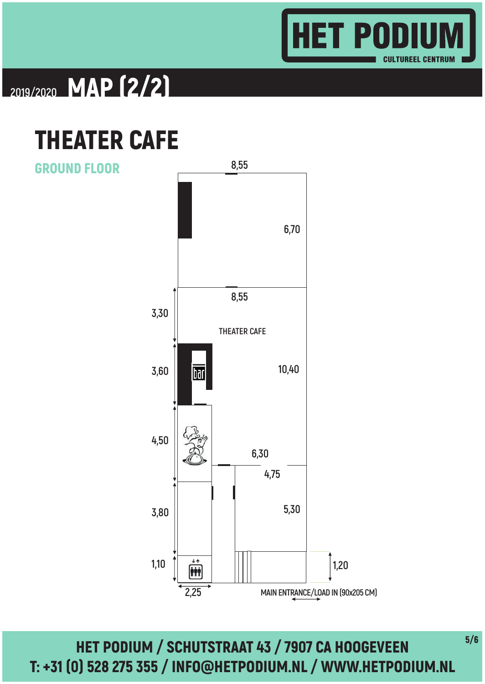

## MAP (2/2) **2019/2020**

## THEATER CAFE

GROUND FLOOR



HET PODIUM / SCHUTSTRAAT 43 / 7907 CA HOOGEVEEN T: +31 (0) 528 275 355 / INFO@HETPODIUM.NL / WWW.HETPODIUM.NL

5/6